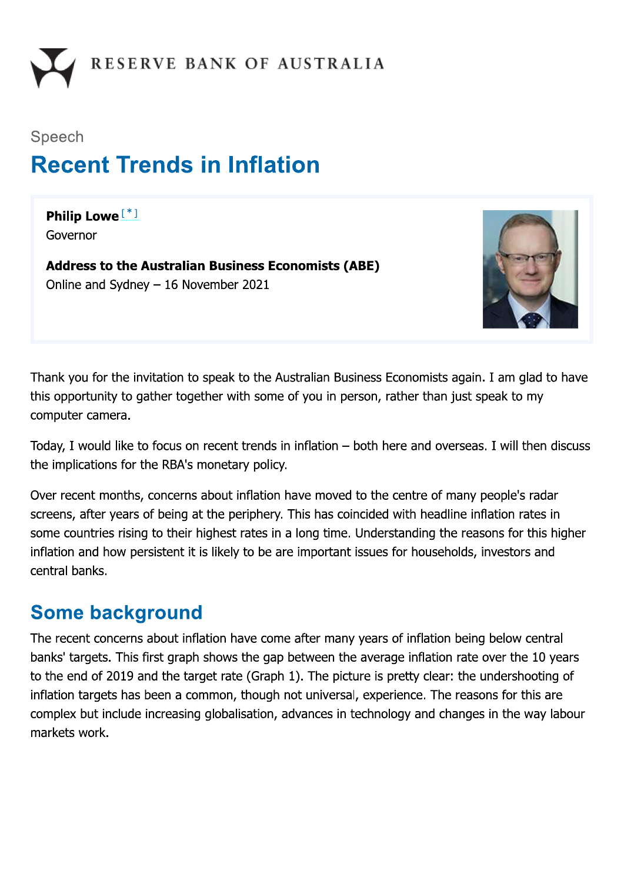

# Speech **Recent Trends in Inflation**

Philip Lowe<sup>[\*]</sup> Governor

**Address to the Australian Business Economists (ABE)** Online and Sydney  $-16$  November 2021



Thank you for the invitation to speak to the Australian Business Economists again. I am glad to have this opportunity to gather together with some of you in person, rather than just speak to my computer camera.

Today, I would like to focus on recent trends in inflation - both here and overseas. I will then discuss the implications for the RBA's monetary policy.

Over recent months, concerns about inflation have moved to the centre of many people's radar screens, after years of being at the periphery. This has coincided with headline inflation rates in some countries rising to their highest rates in a long time. Understanding the reasons for this higher inflation and how persistent it is likely to be are important issues for households, investors and central banks.

### **Some background**

The recent concerns about inflation have come after many years of inflation being below central banks' targets. This first graph shows the gap between the average inflation rate over the 10 years to the end of 2019 and the target rate (Graph 1). The picture is pretty clear: the undershooting of inflation targets has been a common, though not universal, experience. The reasons for this are complex but include increasing globalisation, advances in technology and changes in the way labour markets work.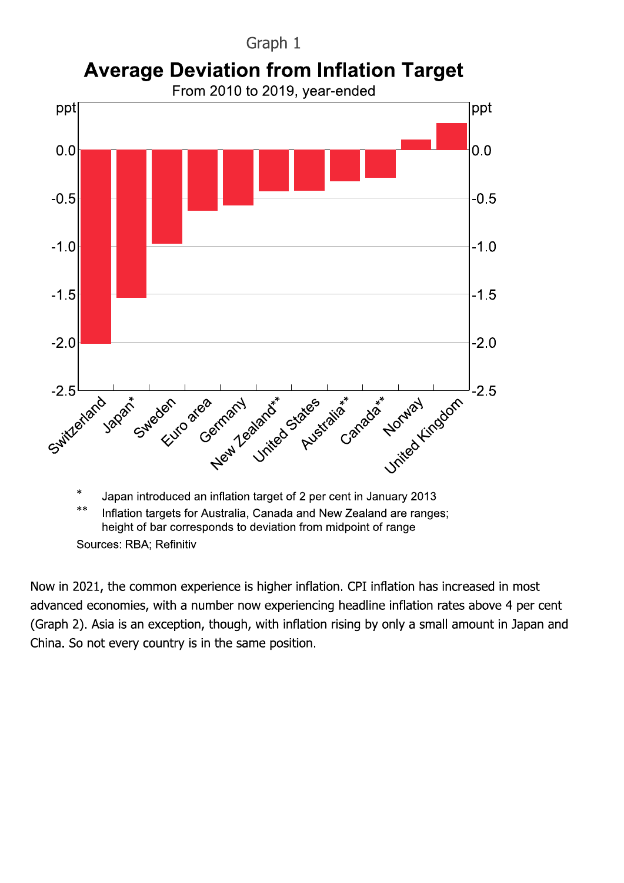

Now in 2021, the common experience is higher inflation. CPI inflation has increased in most advanced economies, with a number now experiencing headline inflation rates above 4 per cent (Graph 2). Asia is an exception, though, with inflation rising by only a small amount in Japan and China. So not every country is in the same position.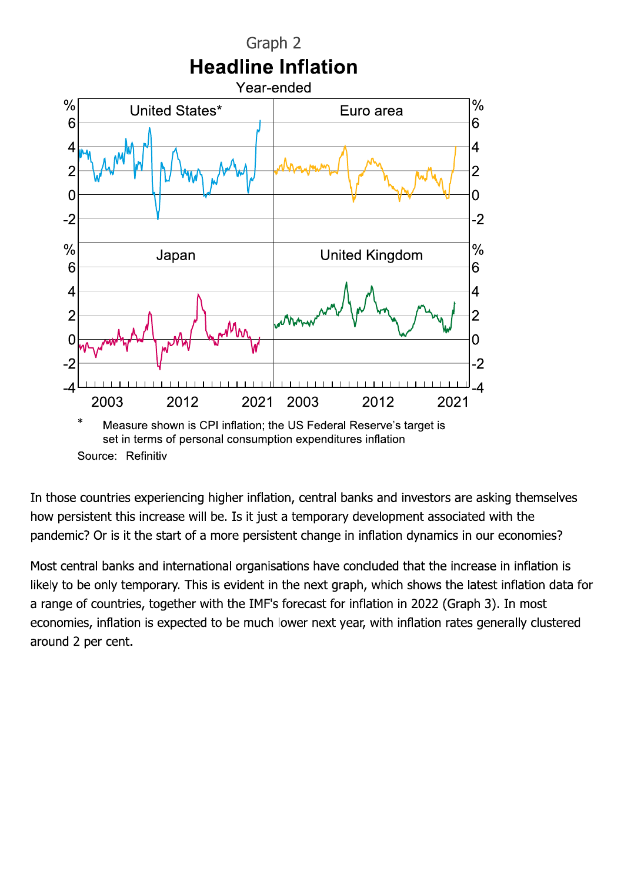

In those countries experiencing higher inflation, central banks and investors are asking themselves how persistent this increase will be. Is it just a temporary development associated with the pandemic? Or is it the start of a more persistent change in inflation dynamics in our economies?

Most central banks and international organisations have concluded that the increase in inflation is likely to be only temporary. This is evident in the next graph, which shows the latest inflation data for a range of countries, together with the IMF's forecast for inflation in 2022 (Graph 3). In most economies, inflation is expected to be much lower next year, with inflation rates generally clustered around 2 per cent.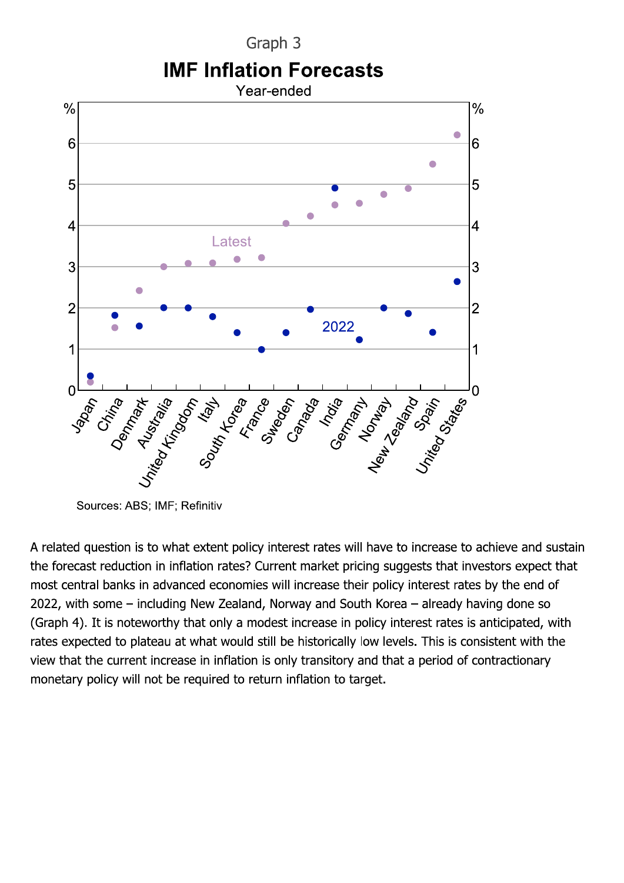Graph 3 **IMF Inflation Forecasts** 



Sources: ABS; IMF; Refinitiv

A related question is to what extent policy interest rates will have to increase to achieve and sustain the forecast reduction in inflation rates? Current market pricing suggests that investors expect that most central banks in advanced economies will increase their policy interest rates by the end of 2022, with some – including New Zealand, Norway and South Korea – already having done so (Graph 4). It is noteworthy that only a modest increase in policy interest rates is anticipated, with rates expected to plateau at what would still be historically low levels. This is consistent with the view that the current increase in inflation is only transitory and that a period of contractionary monetary policy will not be required to return inflation to target.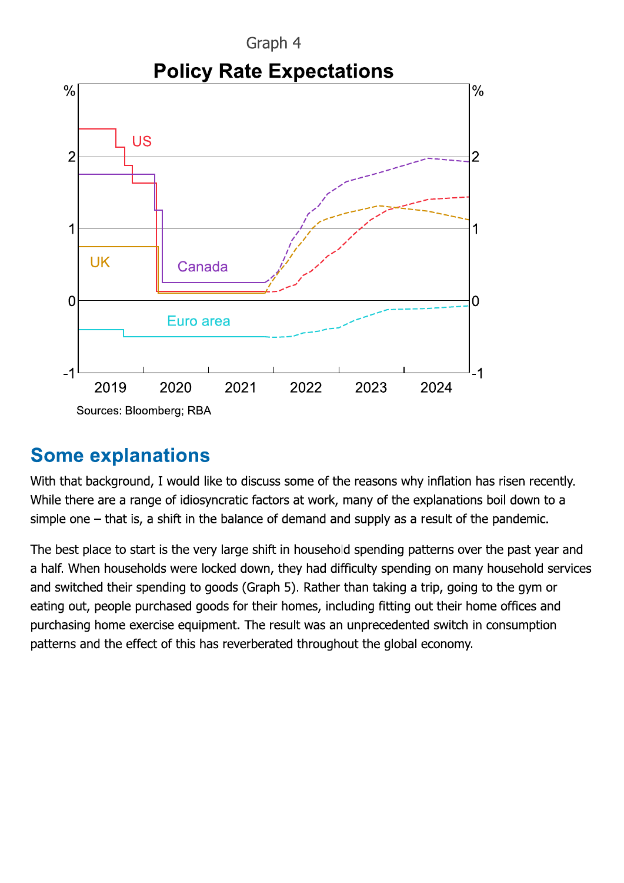

#### **Some explanations**

With that background, I would like to discuss some of the reasons why inflation has risen recently. While there are a range of idiosyncratic factors at work, many of the explanations boil down to a simple one  $-$  that is, a shift in the balance of demand and supply as a result of the pandemic.

The best place to start is the very large shift in household spending patterns over the past year and a half. When households were locked down, they had difficulty spending on many household services and switched their spending to goods (Graph 5). Rather than taking a trip, going to the gym or eating out, people purchased goods for their homes, including fitting out their home offices and purchasing home exercise equipment. The result was an unprecedented switch in consumption patterns and the effect of this has reverberated throughout the global economy.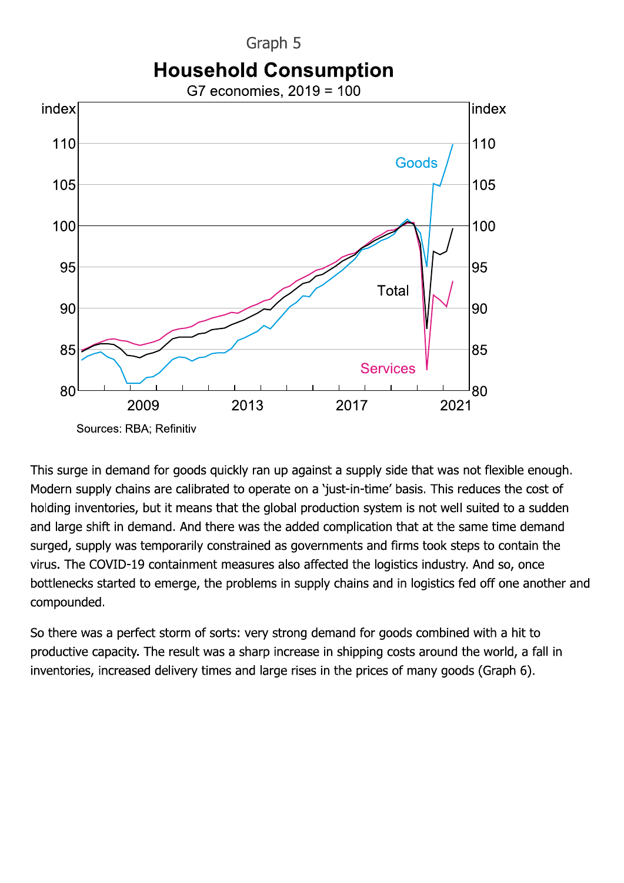Graph 5 **Household Consumption** 



This surge in demand for goods quickly ran up against a supply side that was not flexible enough. Modern supply chains are calibrated to operate on a 'just-in-time' basis. This reduces the cost of holding inventories, but it means that the global production system is not well suited to a sudden and large shift in demand. And there was the added complication that at the same time demand surged, supply was temporarily constrained as governments and firms took steps to contain the virus. The COVID-19 containment measures also affected the logistics industry. And so, once bottlenecks started to emerge, the problems in supply chains and in logistics fed off one another and compounded.

So there was a perfect storm of sorts: very strong demand for goods combined with a hit to productive capacity. The result was a sharp increase in shipping costs around the world, a fall in inventories, increased delivery times and large rises in the prices of many goods (Graph 6).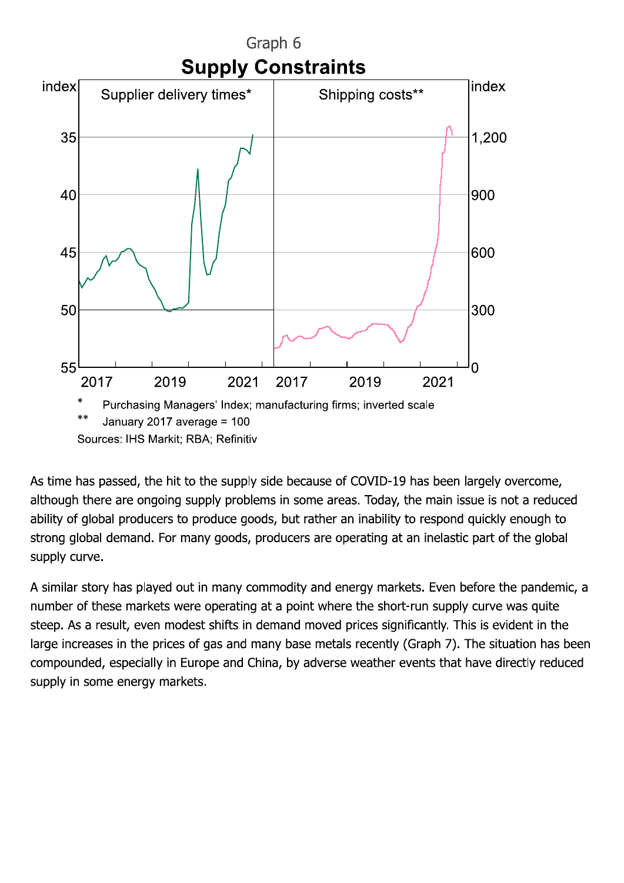

As time has passed, the hit to the supply side because of COVID-19 has been largely overcome, although there are ongoing supply problems in some areas. Today, the main issue is not a reduced ability of global producers to produce goods, but rather an inability to respond quickly enough to strong global demand. For many goods, producers are operating at an inelastic part of the global supply curve.

A similar story has played out in many commodity and energy markets. Even before the pandemic, a number of these markets were operating at a point where the short-run supply curve was quite steep. As a result, even modest shifts in demand moved prices significantly. This is evident in the large increases in the prices of gas and many base metals recently (Graph 7). The situation has been compounded, especially in Europe and China, by adverse weather events that have directly reduced supply in some energy markets.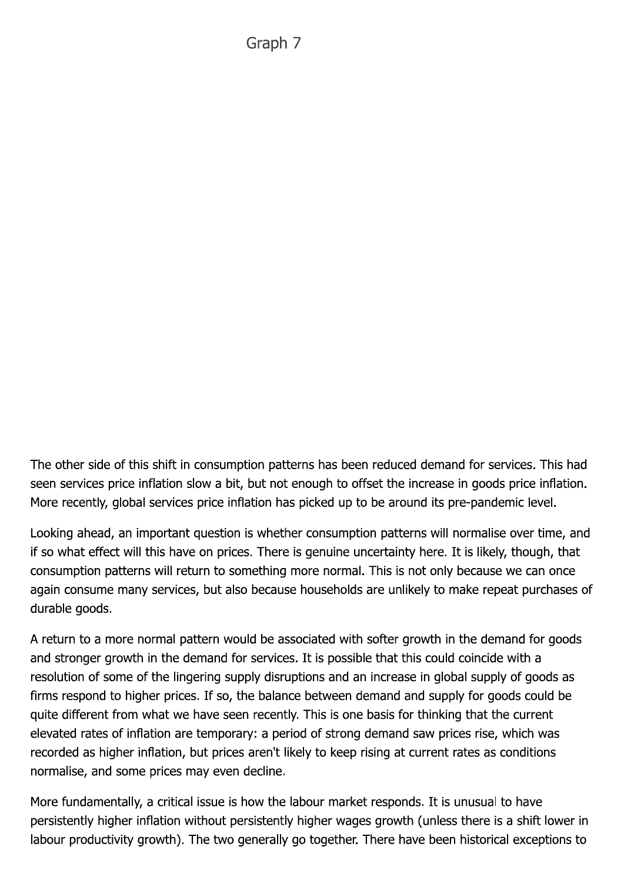The other side of this shift in consumption patterns has been reduced demand for services. This had seen services price inflation slow a bit, but not enough to offset the increase in goods price inflation. More recently, global services price inflation has picked up to be around its pre-pandemic level.

Looking ahead, an important question is whether consumption patterns will normalise over time, and if so what effect will this have on prices. There is genuine uncertainty here. It is likely, though, that consumption patterns will return to something more normal. This is not only because we can once again consume many services, but also because households are unlikely to make repeat purchases of durable goods.

A return to a more normal pattern would be associated with softer growth in the demand for goods and stronger growth in the demand for services. It is possible that this could coincide with a resolution of some of the lingering supply disruptions and an increase in global supply of goods as firms respond to higher prices. If so, the balance between demand and supply for goods could be quite different from what we have seen recently. This is one basis for thinking that the current elevated rates of inflation are temporary: a period of strong demand saw prices rise, which was recorded as higher inflation, but prices aren't likely to keep rising at current rates as conditions normalise, and some prices may even decline.

More fundamentally, a critical issue is how the labour market responds. It is unusual to have persistently higher inflation without persistently higher wages growth (unless there is a shift lower in labour productivity growth). The two generally go together. There have been historical exceptions to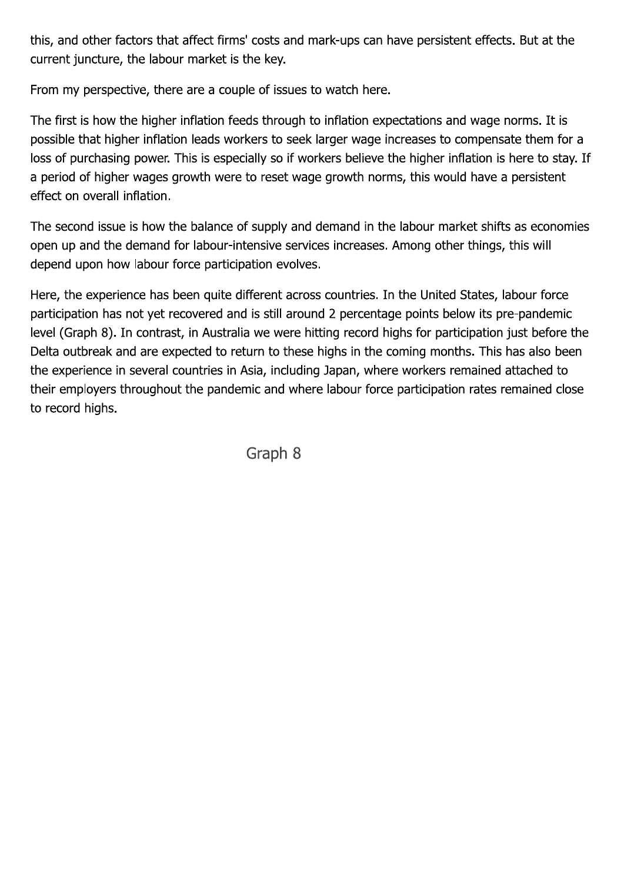this, and other factors that affect firms' costs and mark-ups can have persistent effects. But at the current juncture, the labour market is the key.

From my perspective, there are a couple of issues to watch here.

The first is how the higher inflation feeds through to inflation expectations and wage norms. It is possible that higher inflation leads workers to seek larger wage increases to compensate them for a loss of purchasing power. This is especially so if workers believe the higher inflation is here to stay. If a period of higher wages growth were to reset wage growth norms, this would have a persistent effect on overall inflation.

The second issue is how the balance of supply and demand in the labour market shifts as economies open up and the demand for labour-intensive services increases. Among other things, this will depend upon how labour force participation evolves.

Here, the experience has been quite different across countries. In the United States, labour force participation has not yet recovered and is still around 2 percentage points below its pre-pandemic level (Graph 8). In contrast, in Australia we were hitting record highs for participation just before the Delta outbreak and are expected to return to these highs in the coming months. This has also been the experience in several countries in Asia, including Japan, where workers remained attached to their employers throughout the pandemic and where labour force participation rates remained close to record highs.

Graph 8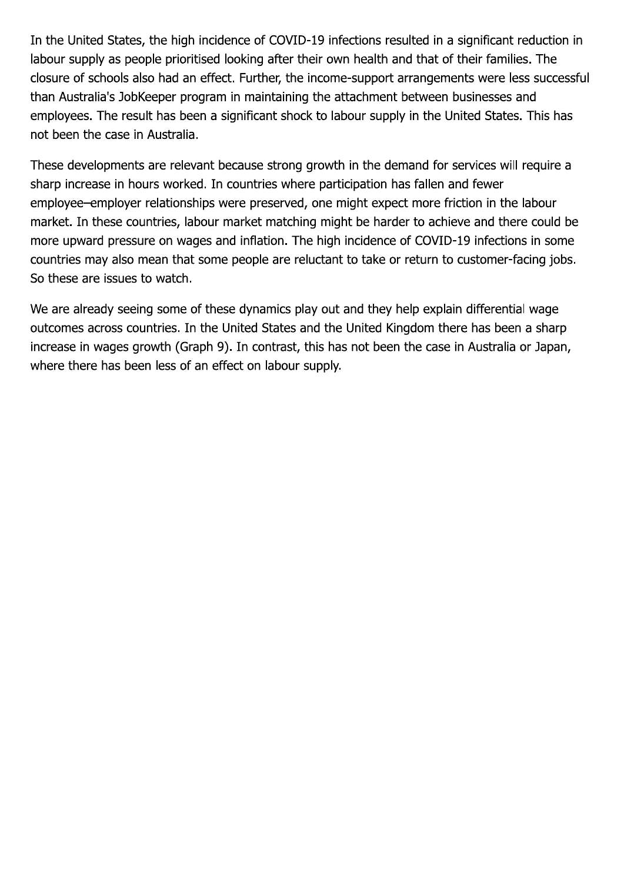In the United States, the high incidence of COVID-19 infections resulted in a significant reduction in labour supply as people prioritised looking after their own health and that of their families. The closure of schools also had an effect. Further, the income-support arrangements were less successful than Australia's JobKeeper program in maintaining the attachment between businesses and employees. The result has been a significant shock to labour supply in the United States. This has not been the case in Australia.

These developments are relevant because strong growth in the demand for services will require a sharp increase in hours worked. In countries where participation has fallen and fewer employee–employer relationships were preserved, one might expect more friction in the labour market. In these countries, labour market matching might be harder to achieve and there could be more upward pressure on wages and inflation. The high incidence of COVID-19 infections in some countries may also mean that some people are reluctant to take or return to customer-facing jobs. So these are issues to watch.

We are already seeing some of these dynamics play out and they help explain differential wage outcomes across countries. In the United States and the United Kingdom there has been a sharp increase in wages growth (Graph 9). In contrast, this has not been the case in Australia or Japan, where there has been less of an effect on labour supply.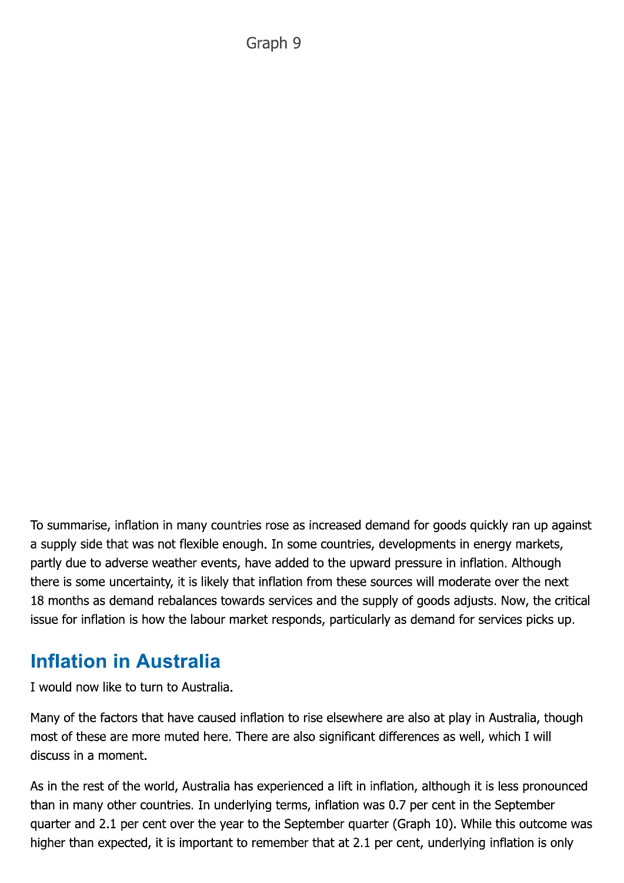To summarise, inflation in many countries rose as increased demand for goods quickly ran up against a supply side that was not flexible enough. In some countries, developments in energy markets, partly due to adverse weather events, have added to the upward pressure in inflation. Although there is some uncertainty, it is likely that inflation from these sources will moderate over the next 18 months as demand rebalances towards services and the supply of goods adjusts. Now, the critical issue for inflation is how the labour market responds, particularly as demand for services picks up.

### **Inflation in Australia**

I would now like to turn to Australia.

Many of the factors that have caused inflation to rise elsewhere are also at play in Australia, though most of these are more muted here. There are also significant differences as well, which I will discuss in a moment.

As in the rest of the world, Australia has experienced a lift in inflation, although it is less pronounced than in many other countries. In underlying terms, inflation was 0.7 per cent in the September quarter and 2.1 per cent over the year to the September quarter (Graph 10). While this outcome was higher than expected, it is important to remember that at 2.1 per cent, underlying inflation is only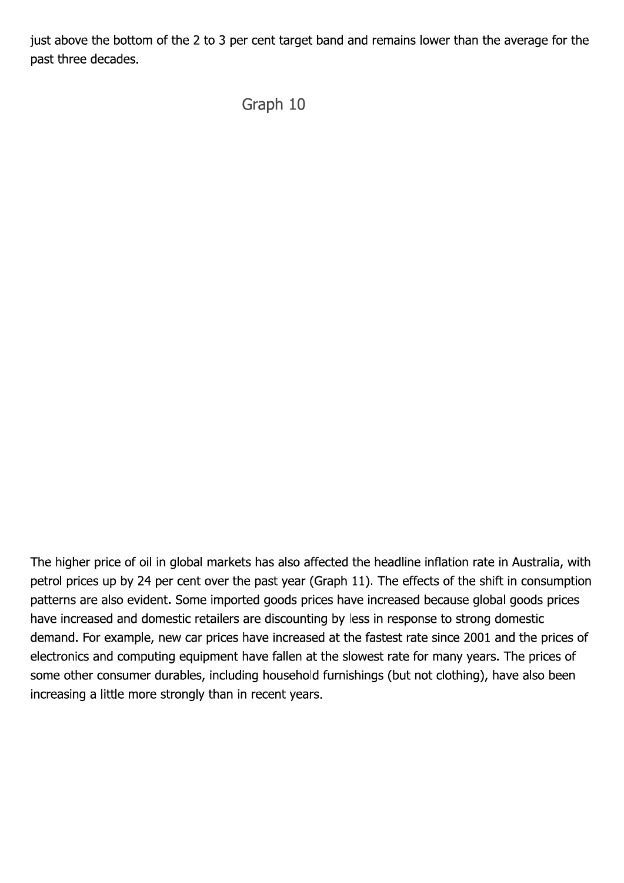just above the bottom of the 2 to 3 per cent target band and remains lower than the average for the past three decades.

Graph 10

The higher price of oil in global markets has also affected the headline inflation rate in Australia, with petrol prices up by 24 per cent over the past year (Graph 11). The effects of the shift in consumption patterns are also evident. Some imported goods prices have increased because global goods prices have increased and domestic retailers are discounting by less in response to strong domestic demand. For example, new car prices have increased at the fastest rate since 2001 and the prices of electronics and computing equipment have fallen at the slowest rate for many years. The prices of some other consumer durables, including household furnishings (but not clothing), have also been increasing a little more strongly than in recent years.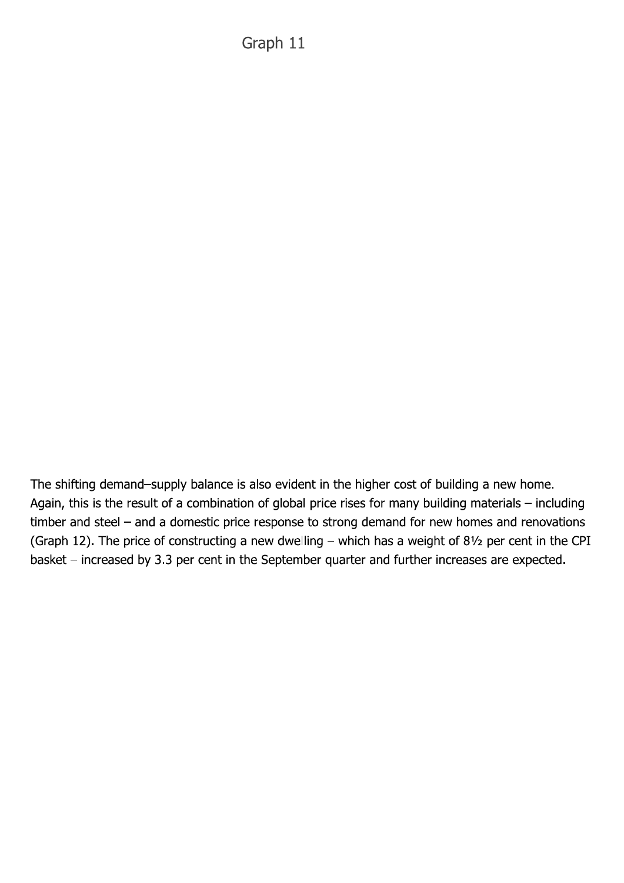Graph 11

The shifting demand-supply balance is also evident in the higher cost of building a new home. Again, this is the result of a combination of global price rises for many building materials - including timber and steel - and a domestic price response to strong demand for new homes and renovations (Graph 12). The price of constructing a new dwelling - which has a weight of 81/2 per cent in the CPI basket - increased by 3.3 per cent in the September quarter and further increases are expected.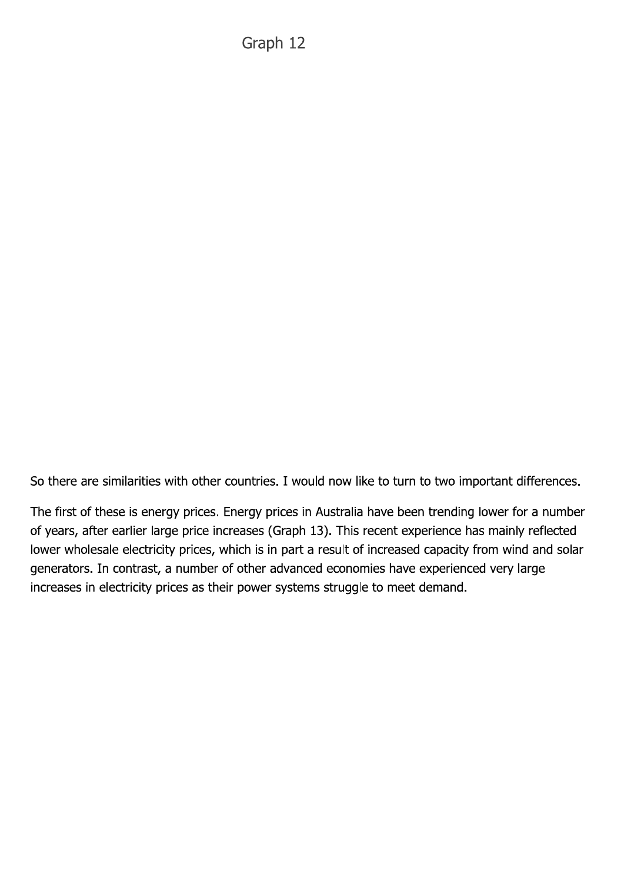So there are similarities with other countries. I would now like to turn to two important differences.

The first of these is energy prices. Energy prices in Australia have been trending lower for a number of years, after earlier large price increases (Graph 13). This recent experience has mainly reflected lower wholesale electricity prices, which is in part a result of increased capacity from wind and solar generators. In contrast, a number of other advanced economies have experienced very large increases in electricity prices as their power systems struggle to meet demand.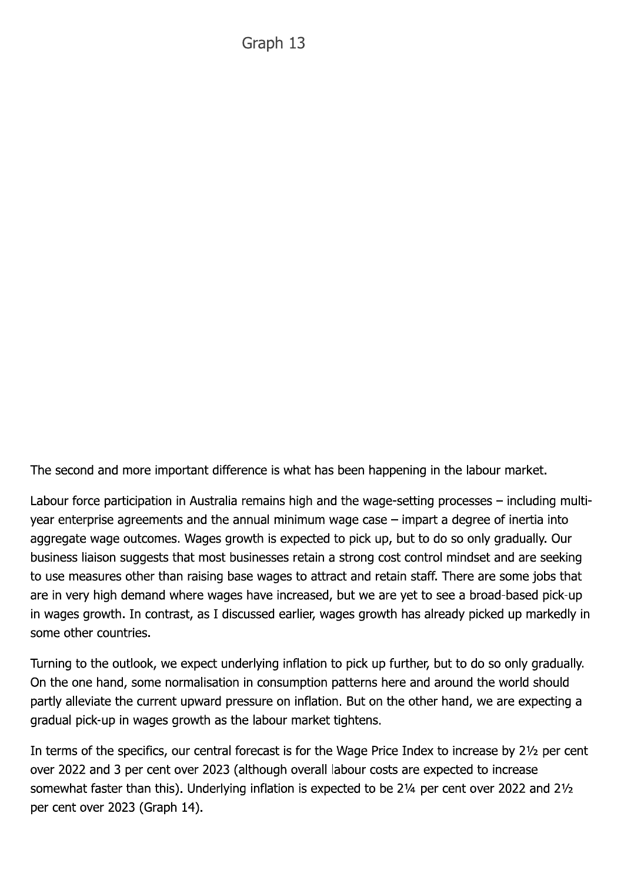The second and more important difference is what has been happening in the labour market.

Labour force participation in Australia remains high and the wage-setting processes – including multiyear enterprise agreements and the annual minimum wage case  $-$  impart a degree of inertia into aggregate wage outcomes. Wages growth is expected to pick up, but to do so only gradually. Our business liaison suggests that most businesses retain a strong cost control mindset and are seeking to use measures other than raising base wages to attract and retain staff. There are some jobs that are in very high demand where wages have increased, but we are yet to see a broad-based pick-up in wages growth. In contrast, as I discussed earlier, wages growth has already picked up markedly in some other countries.

Turning to the outlook, we expect underlying inflation to pick up further, but to do so only gradually. On the one hand, some normalisation in consumption patterns here and around the world should partly alleviate the current upward pressure on inflation. But on the other hand, we are expecting a gradual pick-up in wages growth as the labour market tightens.

In terms of the specifics, our central forecast is for the Wage Price Index to increase by 21/2 per cent over 2022 and 3 per cent over 2023 (although overall labour costs are expected to increase somewhat faster than this). Underlying inflation is expected to be 21/4 per cent over 2022 and 21/2 per cent over 2023 (Graph 14).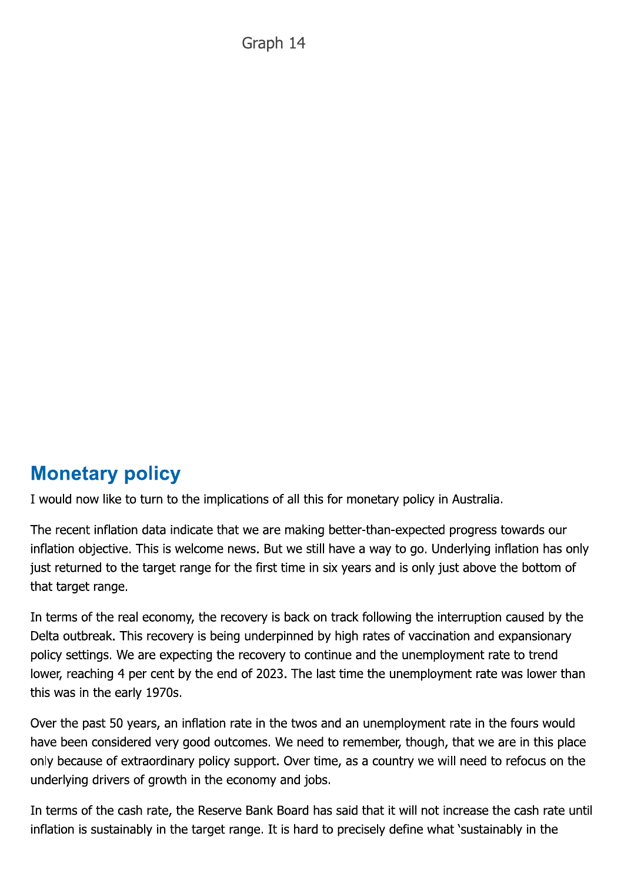Graph 14

## **Monetary policy**

I would now like to turn to the implications of all this for monetary policy in Australia.

The recent inflation data indicate that we are making better-than-expected progress towards our inflation objective. This is welcome news. But we still have a way to go. Underlying inflation has only just returned to the target range for the first time in six years and is only just above the bottom of that target range.

In terms of the real economy, the recovery is back on track following the interruption caused by the Delta outbreak. This recovery is being underpinned by high rates of vaccination and expansionary policy settings. We are expecting the recovery to continue and the unemployment rate to trend lower, reaching 4 per cent by the end of 2023. The last time the unemployment rate was lower than this was in the early 1970s.

Over the past 50 years, an inflation rate in the twos and an unemployment rate in the fours would have been considered very good outcomes. We need to remember, though, that we are in this place only because of extraordinary policy support. Over time, as a country we will need to refocus on the underlying drivers of growth in the economy and jobs.

In terms of the cash rate, the Reserve Bank Board has said that it will not increase the cash rate until inflation is sustainably in the target range. It is hard to precisely define what 'sustainably in the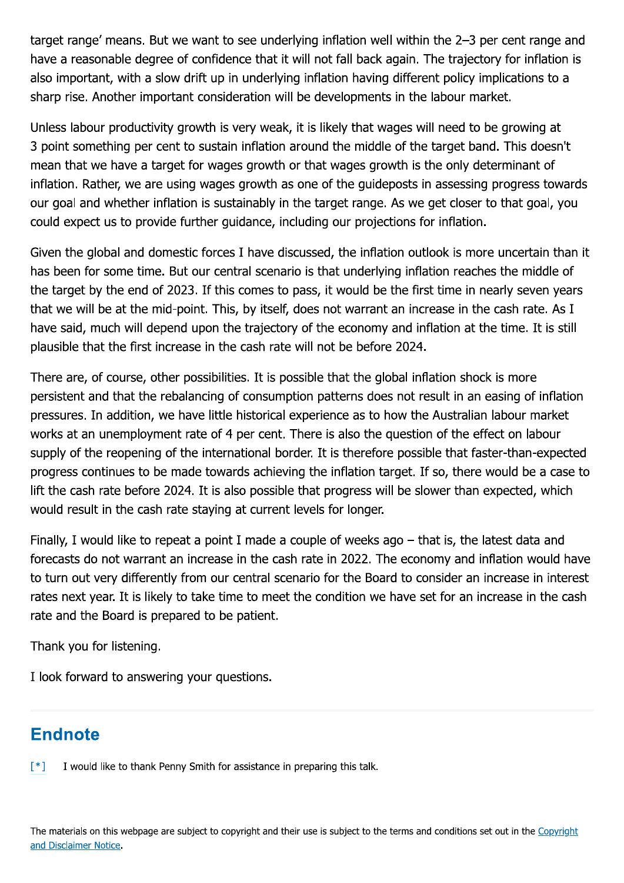target range' means. But we want to see underlying inflation well within the 2-3 per cent range and have a reasonable degree of confidence that it will not fall back again. The trajectory for inflation is also important, with a slow drift up in underlying inflation having different policy implications to a sharp rise. Another important consideration will be developments in the labour market.

Unless labour productivity growth is very weak, it is likely that wages will need to be growing at 3 point something per cent to sustain inflation around the middle of the target band. This doesn't mean that we have a target for wages growth or that wages growth is the only determinant of inflation. Rather, we are using wages growth as one of the guideposts in assessing progress towards our goal and whether inflation is sustainably in the target range. As we get closer to that goal, you could expect us to provide further guidance, including our projections for inflation.

Given the global and domestic forces I have discussed, the inflation outlook is more uncertain than it has been for some time. But our central scenario is that underlying inflation reaches the middle of the target by the end of 2023. If this comes to pass, it would be the first time in nearly seven years that we will be at the mid-point. This, by itself, does not warrant an increase in the cash rate. As I have said, much will depend upon the trajectory of the economy and inflation at the time. It is still plausible that the first increase in the cash rate will not be before 2024.

There are, of course, other possibilities. It is possible that the global inflation shock is more persistent and that the rebalancing of consumption patterns does not result in an easing of inflation pressures. In addition, we have little historical experience as to how the Australian labour market works at an unemployment rate of 4 per cent. There is also the question of the effect on labour supply of the reopening of the international border. It is therefore possible that faster-than-expected progress continues to be made towards achieving the inflation target. If so, there would be a case to lift the cash rate before 2024. It is also possible that progress will be slower than expected, which would result in the cash rate staying at current levels for longer.

Finally, I would like to repeat a point I made a couple of weeks ago – that is, the latest data and forecasts do not warrant an increase in the cash rate in 2022. The economy and inflation would have to turn out very differently from our central scenario for the Board to consider an increase in interest rates next year. It is likely to take time to meet the condition we have set for an increase in the cash rate and the Board is prepared to be patient.

Thank you for listening.

I look forward to answering your questions.

#### **Endnote**

 $[$ \*] I would like to thank Penny Smith for assistance in preparing this talk.

The materials on this webpage are subject to copyright and their use is subject to the terms and conditions set out in the Copyright and Disclaimer Notice.